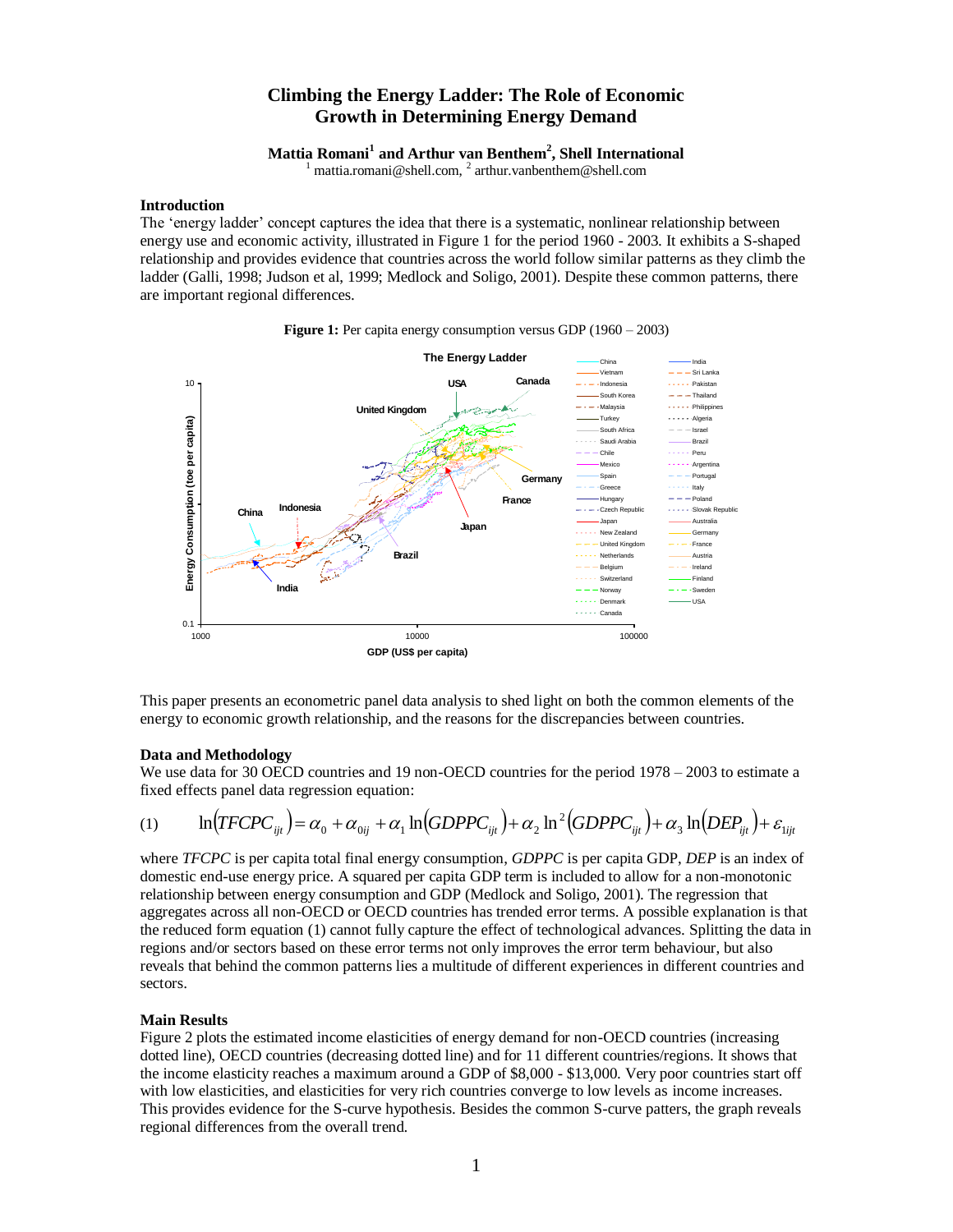# **Climbing the Energy Ladder: The Role of Economic Growth in Determining Energy Demand**

**Mattia Romani<sup>1</sup> and Arthur van Benthem<sup>2</sup> , Shell International**

<sup>1</sup> mattia.romani@shell.com, <sup>2</sup> arthur.vanbenthem@shell.com

## **Introduction**

The 'energy ladder' concept captures the idea that there is a systematic, nonlinear relationship between energy use and economic activity, illustrated in Figure 1 for the period 1960 - 2003. It exhibits a S-shaped relationship and provides evidence that countries across the world follow similar patterns as they climb the ladder (Galli, 1998; Judson et al, 1999; Medlock and Soligo, 2001). Despite these common patterns, there are important regional differences.



**Figure 1:** Per capita energy consumption versus GDP (1960 – 2003)

This paper presents an econometric panel data analysis to shed light on both the common elements of the energy to economic growth relationship, and the reasons for the discrepancies between countries.

## **Data and Methodology**

We use data for 30 OECD countries and 19 non-OECD countries for the period 1978 – 2003 to estimate a fixed effects panel data regression equation:

$$
(1) \qquad \ln(TFCPC_{ijt}) = \alpha_0 + \alpha_{0ij} + \alpha_1 \ln(GDPPC_{ijt}) + \alpha_2 \ln^2(GDPPC_{ijt}) + \alpha_3 \ln(DEP_{ijt}) + \varepsilon_{1ijt}
$$

where *TFCPC* is per capita total final energy consumption, *GDPPC* is per capita GDP, *DEP* is an index of domestic end-use energy price. A squared per capita GDP term is included to allow for a non-monotonic relationship between energy consumption and GDP (Medlock and Soligo, 2001). The regression that aggregates across all non-OECD or OECD countries has trended error terms. A possible explanation is that the reduced form equation (1) cannot fully capture the effect of technological advances. Splitting the data in regions and/or sectors based on these error terms not only improves the error term behaviour, but also reveals that behind the common patterns lies a multitude of different experiences in different countries and sectors.

## **Main Results**

Figure 2 plots the estimated income elasticities of energy demand for non-OECD countries (increasing dotted line), OECD countries (decreasing dotted line) and for 11 different countries/regions. It shows that the income elasticity reaches a maximum around a GDP of \$8,000 - \$13,000. Very poor countries start off with low elasticities, and elasticities for very rich countries converge to low levels as income increases. This provides evidence for the S-curve hypothesis. Besides the common S-curve patters, the graph reveals regional differences from the overall trend.